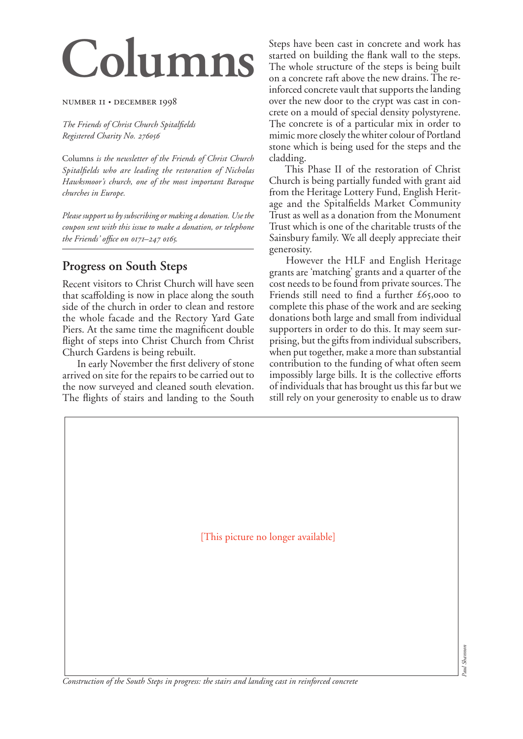# **Columns**

#### NUMBER II · DECEMBER 1998

*The Friends of Christ Church Spitalfields Registered Charity No.* 

Columns *is the newsletter of the Friends of Christ Church Spitalfields who are leading the restoration of Nicholas Hawksmoor's church, one of the most important Baroque churches in Europe.*

*Please support us by subscribing or making a donation. Use the coupon sent with this issue to make a donation, or telephone the Friends' office on – .*

## **Progress on South Steps**

Recent visitors to Christ Church will have seen that scaffolding is now in place along the south side of the church in order to clean and restore the whole facade and the Rectory Yard Gate Piers. At the same time the magnificent double flight of steps into Christ Church from Christ Church Gardens is being rebuilt.

 In early November the first delivery of stone arrived on site for the repairs to be carried out to the now surveyed and cleaned south elevation. The flights of stairs and landing to the South Steps have been cast in concrete and work has started on building the flank wall to the steps. The whole structure of the steps is being built on a concrete raft above the new drains. The reinforced concrete vault that supports the landing over the new door to the crypt was cast in concrete on a mould of special density polystyrene. The concrete is of a particular mix in order to mimic more closely the whiter colour of Portland stone which is being used for the steps and the cladding.

 This Phase II of the restoration of Christ Church is being partially funded with grant aid from the Heritage Lottery Fund, English Heritage and the Spitalfields Market Community Trust as well as a donation from the Monument Trust which is one of the charitable trusts of the Sainsbury family. We all deeply appreciate their generosity.

 However the HLF and English Heritage grants are 'matching' grants and a quarter of the cost needs to be found from private sources. The Friends still need to find a further  $£65,000$  to complete this phase of the work and are seeking donations both large and small from individual supporters in order to do this. It may seem surprising, but the gifts from individual subscribers, when put together, make a more than substantial contribution to the funding of what often seem impossibly large bills. It is the collective efforts of individuals that has brought us this far but we still rely on your generosity to enable us to draw

[This picture no longer available]

*Construction of the South Steps in progress: the stairs and landing cast in reinforced concrete*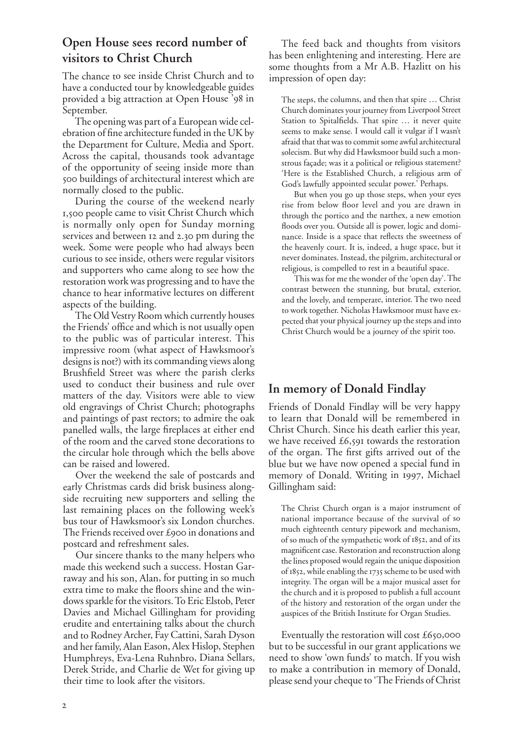## **Open House sees record number of visitors to Christ Church**

The chance to see inside Christ Church and to have a conducted tour by knowledgeable guides provided a big attraction at Open House '98 in September.

The opening was part of a European wide celebration of fine architecture funded in the UK by the Department for Culture, Media and Sport. Across the capital, thousands took advantage of the opportunity of seeing inside more than 500 buildings of architectural interest which are normally closed to the public.

During the course of the weekend nearly 1,500 people came to visit Christ Church which is normally only open for Sunday morning services and between 12 and 2.30 pm during the week. Some were people who had always been curious to see inside, others were regular visitors and supporters who came along to see how the restoration work was progressing and to have the chance to hear informative lectures on different aspects of the building.

The Old Vestry Room which currently houses the Friends' office and which is not usually open to the public was of particular interest. This impressive room (what aspect of Hawksmoor's designs is not?) with its commanding views along Brushfield Street was where the parish clerks used to conduct their business and rule over matters of the day. Visitors were able to view old engravings of Christ Church; photographs and paintings of past rectors; to admire the oak panelled walls, the large fireplaces at either end of the room and the carved stone decorations to the circular hole through which the bells above can be raised and lowered.

Over the weekend the sale of postcards and early Christmas cards did brisk business alongside recruiting new supporters and selling the last remaining places on the following week's bus tour of Hawksmoor's six London churches. The Friends received over £900 in donations and postcard and refreshment sales.

Our sincere thanks to the many helpers who made this weekend such a success. Hostan Garraway and his son, Alan, for putting in so much extra time to make the floors shine and the windows sparkle for the visitors. To Eric Elstob, Peter Davies and Michael Gillingham for providing erudite and entertaining talks about the church and to Rodney Archer, Fay Cattini, Sarah Dyson and her family, Alan Eason, Alex Hislop, Stephen Humphreys, Eva-Lena Ruhnbro, Diana Sellars, Derek Stride, and Charlie de Wet for giving up their time to look after the visitors.

The feed back and thoughts from visitors has been enlightening and interesting. Here are some thoughts from a Mr A.B. Hazlitt on his impression of open day:

The steps, the columns, and then that spire … Christ Church dominates your journey from Liverpool Street Station to Spitalfields. That spire … it never quite seems to make sense. I would call it vulgar if I wasn't afraid that that was to commit some awful architectural solecism. But why did Hawksmoor build such a monstrous façade; was it a political or religious statement? 'Here is the Established Church, a religious arm of God's lawfully appointed secular power.' Perhaps.

But when you go up those steps, when your eyes rise from below floor level and you are drawn in through the portico and the narthex, a new emotion floods over you. Outside all is power, logic and dominance. Inside is a space that reflects the sweetness of the heavenly court. It is, indeed, a huge space, but it never dominates. Instead, the pilgrim, architectural or religious, is compelled to rest in a beautiful space.

This was for me the wonder of the 'open day'. The contrast between the stunning, but brutal, exterior, and the lovely, and temperate, interior. The two need to work together. Nicholas Hawksmoor must have expected that your physical journey up the steps and into Christ Church would be a journey of the spirit too.

## **In memory of Donald Findlay**

Friends of Donald Findlay will be very happy to learn that Donald will be remembered in Christ Church. Since his death earlier this year, we have received  $£6,591$  towards the restoration of the organ. The first gifts arrived out of the blue but we have now opened a special fund in memory of Donald. Writing in 1997, Michael Gillingham said:

The Christ Church organ is a major instrument of national importance because of the survival of so much eighteenth century pipework and mechanism, of so much of the sympathetic work of 1852, and of its magnificent case. Restoration and reconstruction along the lines proposed would regain the unique disposition of 1852, while enabling the 1735 scheme to be used with integrity. The organ will be a major musical asset for the church and it is proposed to publish a full account of the history and restoration of the organ under the auspices of the British Institute for Organ Studies.

Eventually the restoration will cost  $£650,000$ but to be successful in our grant applications we need to show 'own funds' to match. If you wish to make a contribution in memory of Donald, please send your cheque to 'The Friends of Christ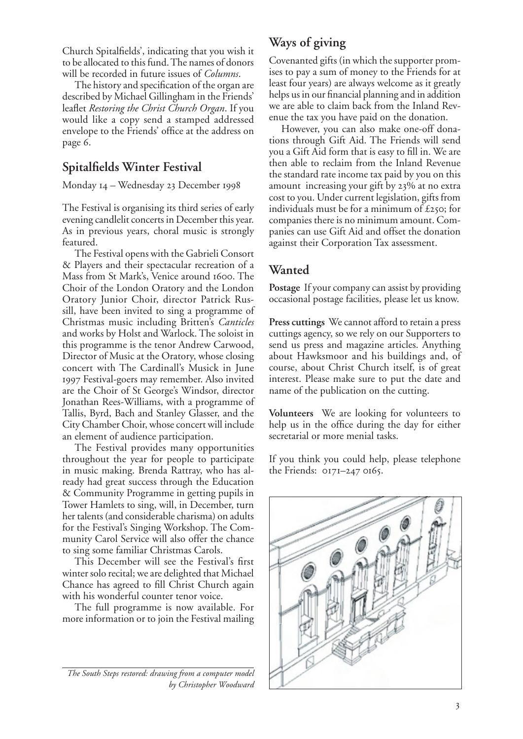Church Spitalfields', indicating that you wish it to be allocated to this fund. The names of donors will be recorded in future issues of *Columns*.

The history and specification of the organ are described by Michael Gillingham in the Friends' leaflet *Restoring the Christ Church Organ*. If you would like a copy send a stamped addressed envelope to the Friends' office at the address on page 6.

## **Spitalfields Winter Festival**

Monday 14 - Wednesday 23 December 1998

The Festival is organising its third series of early evening candlelit concerts in December this year. As in previous years, choral music is strongly featured.

The Festival opens with the Gabrieli Consort & Players and their spectacular recreation of a Mass from St Mark's, Venice around 1600. The Choir of the London Oratory and the London Oratory Junior Choir, director Patrick Russill, have been invited to sing a programme of Christmas music including Britten's *Canticles*  and works by Holst and Warlock. The soloist in this programme is the tenor Andrew Carwood, Director of Music at the Oratory, whose closing concert with The Cardinall's Musick in June Festival-goers may remember. Also invited are the Choir of St George's Windsor, director Jonathan Rees-Williams, with a programme of Tallis, Byrd, Bach and Stanley Glasser, and the City Chamber Choir, whose concert will include an element of audience participation.

The Festival provides many opportunities throughout the year for people to participate in music making. Brenda Rattray, who has already had great success through the Education & Community Programme in getting pupils in Tower Hamlets to sing, will, in December, turn her talents (and considerable charisma) on adults for the Festival's Singing Workshop. The Community Carol Service will also offer the chance to sing some familiar Christmas Carols.

This December will see the Festival's first winter solo recital; we are delighted that Michael Chance has agreed to fill Christ Church again with his wonderful counter tenor voice.

The full programme is now available. For more information or to join the Festival mailing

*The South Steps restored: drawing from a computer model by Christopher Woodward*

# **Ways of giving**

Covenanted gifts (in which the supporter promises to pay a sum of money to the Friends for at least four years) are always welcome as it greatly helps us in our financial planning and in addition we are able to claim back from the Inland Revenue the tax you have paid on the donation.

However, you can also make one-off donations through Gift Aid. The Friends will send you a Gift Aid form that is easy to fill in. We are then able to reclaim from the Inland Revenue the standard rate income tax paid by you on this amount increasing your gift by 23% at no extra cost to you. Under current legislation, gifts from individuals must be for a minimum of  $\pounds$ 250; for companies there is no minimum amount. Companies can use Gift Aid and offset the donation against their Corporation Tax assessment.

# **Wanted**

**Postage** If your company can assist by providing occasional postage facilities, please let us know.

**Press cuttings** We cannot afford to retain a press cuttings agency, so we rely on our Supporters to send us press and magazine articles. Anything about Hawksmoor and his buildings and, of course, about Christ Church itself, is of great interest. Please make sure to put the date and name of the publication on the cutting.

**Volunteers** We are looking for volunteers to help us in the office during the day for either secretarial or more menial tasks.

If you think you could help, please telephone the Friends:  $0171-2470165$ .

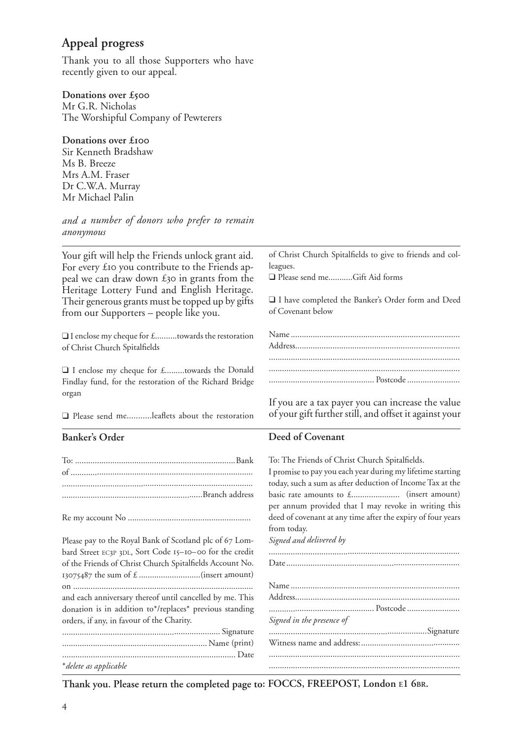# **Appeal progress**

Thank you to all those Supporters who have recently given to our appeal.

#### **Donations over £**

Mr G.R. Nicholas The Worshipful Company of Pewterers

#### **Donations over £**

Sir Kenneth Bradshaw Ms B. Breeze Mrs A.M. Fraser Dr C.W.A. Murray Mr Michael Palin

*and a number of donors who prefer to remain anonymous*

Your gift will help the Friends unlock grant aid. For every £10 you contribute to the Friends appeal we can draw down  $£30$  in grants from the Heritage Lottery Fund and English Heritage. Their generous grants must be topped up by gifts from our Supporters – people like you.

❑ I enclose my cheque for £..........towards the restoration of Christ Church Spitalfields

❑ I enclose my cheque for £.........towards the Donald Findlay fund, for the restoration of the Richard Bridge organ

❑ Please send me...........leaflets about the restoration

#### **Banker's Order**

| Please pay to the Royal Bank of Scotland plc of 67 Lom-  |
|----------------------------------------------------------|
| bard Street EC3P 3DL, Sort Code 15-10-00 for the credit  |
| of the Friends of Christ Church Spitalfields Account No. |
|                                                          |
|                                                          |
| and each anniversary thereof until cancelled by me. This |
| donation is in addition to*/replaces* previous standing  |
| orders, if any, in favour of the Charity.                |
|                                                          |
|                                                          |
|                                                          |
| * delete as applicable                                   |

of Christ Church Spitalfields to give to friends and colleagues.

❑ Please send me...........Gift Aid forms

❑ I have completed the Banker's Order form and Deed of Covenant below

If you are a tax payer you can increase the value of your gift further still, and offset it against your

#### **Deed of Covenant**

| To: The Friends of Christ Church Spitalfields.              |
|-------------------------------------------------------------|
| I promise to pay you each year during my lifetime starting  |
| today, such a sum as after deduction of Income Tax at the   |
|                                                             |
| per annum provided that I may revoke in writing this        |
| deed of covenant at any time after the expiry of four years |
| from today.                                                 |
| Signed and delivered by                                     |
|                                                             |
|                                                             |
|                                                             |
|                                                             |
|                                                             |
|                                                             |
| Signed in the presence of                                   |
|                                                             |
|                                                             |
|                                                             |
|                                                             |
|                                                             |

**Thank you. Please return the completed page to: FOCCS, FREEPOST, London E1 6BR.**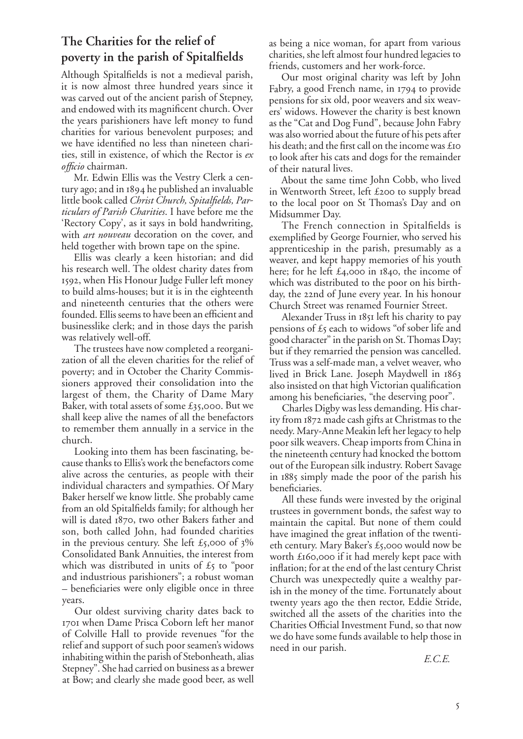# **The Charities for the relief of poverty in the parish of Spitalfields**

Although Spitalfields is not a medieval parish, it is now almost three hundred years since it was carved out of the ancient parish of Stepney, and endowed with its magnificent church. Over the years parishioners have left money to fund charities for various benevolent purposes; and we have identified no less than nineteen charities, still in existence, of which the Rector is *ex <sup>o</sup>fficio* chairman.

Mr. Edwin Ellis was the Vestry Clerk a century ago; and in  $1894$  he published an invaluable little book called *Christ Church, Spitalfields, Particulars of Parish Charities*. I have before me the 'Rectory Copy', as it says in bold handwriting, with *art nouveau* decoration on the cover, and held together with brown tape on the spine.

Ellis was clearly a keen historian; and did his research well. The oldest charity dates from 1592, when His Honour Judge Fuller left money to build alms-houses; but it is in the eighteenth and nineteenth centuries that the others were founded. Ellis seems to have been an efficient and businesslike clerk; and in those days the parish was relatively well-off.

The trustees have now completed a reorganization of all the eleven charities for the relief of poverty; and in October the Charity Commissioners approved their consolidation into the largest of them, the Charity of Dame Mary Baker, with total assets of some £35,000. But we shall keep alive the names of all the benefactors to remember them annually in a service in the church.

Looking into them has been fascinating, because thanks to Ellis's work the benefactors come alive across the centuries, as people with their individual characters and sympathies. Of Mary Baker herself we know little. She probably came from an old Spitalfields family; for although her will is dated 1870, two other Bakers father and son, both called John, had founded charities in the previous century. She left  $\pounds$ 5,000 of  $3\%$ Consolidated Bank Annuities, the interest from which was distributed in units of  $\pounds$ 5 to "poor and industrious parishioners"; a robust woman – beneficiaries were only eligible once in three years.

Our oldest surviving charity dates back to 1701 when Dame Prisca Coborn left her manor of Colville Hall to provide revenues "for the relief and support of such poor seamen's widows inhabiting within the parish of Stebonheath, alias Stepney". She had carried on business as a brewer at Bow; and clearly she made good beer, as well as being a nice woman, for apart from various charities, she left almost four hundred legacies to friends, customers and her work-force.

Our most original charity was left by John Fabry, a good French name, in 1794 to provide pensions for six old, poor weavers and six weavers' widows. However the charity is best known as the "Cat and Dog Fund", because John Fabry was also worried about the future of his pets after his death; and the first call on the income was £ to look after his cats and dogs for the remainder of their natural lives.

About the same time John Cobb, who lived in Wentworth Street, left  $£200$  to supply bread to the local poor on St Thomas's Day and on Midsummer Day.

The French connection in Spitalfields is exemplified by George Fournier, who served his apprenticeship in the parish, presumably as a weaver, and kept happy memories of his youth here; for he left  $\pounds$ 4,000 in 1840, the income of which was distributed to the poor on his birthday, the 22nd of June every year. In his honour Church Street was renamed Fournier Street.

Alexander Truss in 1851 left his charity to pay pensions of  $\pounds$ <sub>5</sub> each to widows "of sober life and good character" in the parish on St. Thomas Day; but if they remarried the pension was cancelled. Truss was a self-made man, a velvet weaver, who lived in Brick Lane. Joseph Maydwell in also insisted on that high Victorian qualification among his beneficiaries, "the deserving poor".

Charles Digby was less demanding. His charity from 1872 made cash gifts at Christmas to the needy. Mary-Anne Meakin left her legacy to help poor silk weavers. Cheap imports from China in the nineteenth century had knocked the bottom out of the European silk industry. Robert Savage in 1885 simply made the poor of the parish his beneficiaries.

All these funds were invested by the original trustees in government bonds, the safest way to maintain the capital. But none of them could have imagined the great inflation of the twentieth century. Mary Baker's  $\pounds$ 5,000 would now be worth  $£160,000$  if it had merely kept pace with inflation; for at the end of the last century Christ Church was unexpectedly quite a wealthy parish in the money of the time. Fortunately about twenty years ago the then rector, Eddie Stride, switched all the assets of the charities into the Charities Official Investment Fund, so that now we do have some funds available to help those in need in our parish.

*E.C.E.*